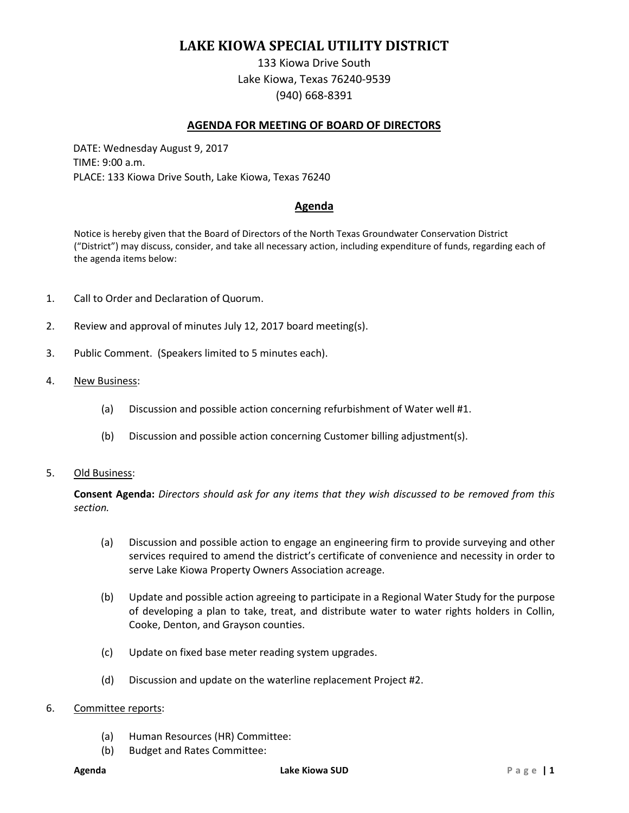# **LAKE KIOWA SPECIAL UTILITY DISTRICT**

133 Kiowa Drive South Lake Kiowa, Texas 76240-9539 (940) 668-8391

### **AGENDA FOR MEETING OF BOARD OF DIRECTORS**

DATE: Wednesday August 9, 2017 TIME: 9:00 a.m. PLACE: 133 Kiowa Drive South, Lake Kiowa, Texas 76240

## **Agenda**

Notice is hereby given that the Board of Directors of the North Texas Groundwater Conservation District ("District") may discuss, consider, and take all necessary action, including expenditure of funds, regarding each of the agenda items below:

- 1. Call to Order and Declaration of Quorum.
- 2. Review and approval of minutes July 12, 2017 board meeting(s).
- 3. Public Comment. (Speakers limited to 5 minutes each).
- 4. New Business:
	- (a) Discussion and possible action concerning refurbishment of Water well #1.
	- (b) Discussion and possible action concerning Customer billing adjustment(s).
- 5. Old Business:

**Consent Agenda:** *Directors should ask for any items that they wish discussed to be removed from this section.*

- (a) Discussion and possible action to engage an engineering firm to provide surveying and other services required to amend the district's certificate of convenience and necessity in order to serve Lake Kiowa Property Owners Association acreage.
- (b) Update and possible action agreeing to participate in a Regional Water Study for the purpose of developing a plan to take, treat, and distribute water to water rights holders in Collin, Cooke, Denton, and Grayson counties.
- (c) Update on fixed base meter reading system upgrades.
- (d) Discussion and update on the waterline replacement Project #2.
- 6. Committee reports:
	- (a) Human Resources (HR) Committee:
	- (b) Budget and Rates Committee: